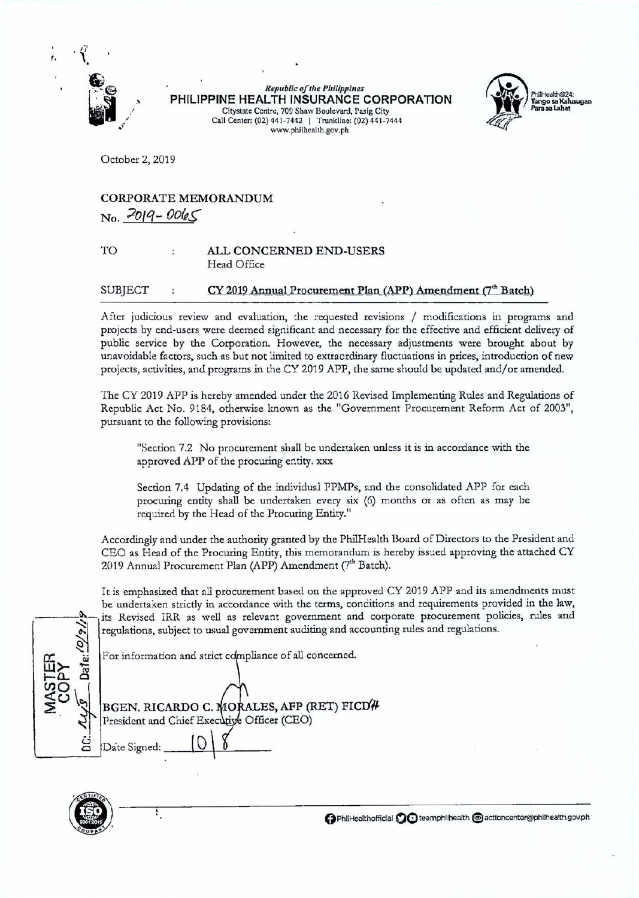

*t.* 

**Republic of the Philippines PHILIPPINE HEALTH INSURANCE CORPORATION**  Citystatc Centre, 709 Shaw Boulevard, Pasig City Call Center: (02) 441-7442 | Trunkline: (02) 441-7444 www.philhealth.gov.ph



October 2, 2019

# CORPORATE MEMORANDUM  $N_0$ ,  $2019 - 0065$

### TO ALL CONCERNED END-USERS Head Office

## SUBJECT : CY 2019 Annual Procurement Plan (APP) Amendment (7<sup>th</sup> Batch)

After judicious review and evaluation, the requested revisions / modifications in programs and projects by end-users were deemed significant and necessary for the effective and efficient delivery of public service by the Corporation. However, the necessary adjustments were brought about by unavoidable factors, such as but not limited to extraordinary fluctuations in prices, introduction of new projects, activities, and programs in the CY 2019 APP, the same should be updated and/or amended.

The CY 2019 APP is hereby amended under the 2016 Revised Implementing Rules and Regulations of Republic Act No. 9184, otherwise known as the "Government Procurement Reform Act of 2003", pursuant to the following provisions:

"Section 7.2 No procurement shall be undertaken unless it is in accordance with the approved APP of the procuring entity. xxx

Section 7.4 Updating of the individual PPMPs, and the consolidated APP for each procuring entity shall be undertaken every six (6) months or as often as may be required by the Head of the Procuring Entity."

Accordingly and under the authority granted by the PhilHealth Board of Directors to the President and CEO as Head of the Procuring Entity, this memorandum is hereby issued approving the attached CY 2019 Annual Procurement Plan (APP) Amendment (7<sup>th</sup> Batch).

It *is* emphasized that all procurement based on the approved CY 2019 APP and its amendments must be undertaken strictly in accordance with the terms, conditions and requirements provided in the law, its Revised IRR as well as relevant government and corporate procurement policies, rules and regulations, subject to usual government auditing and accounting rules and regulations.

For information and strict compliance of all concerned.

| For information and strict compliance of all concerned. |
|---------------------------------------------------------|
| BGEN. RICARDO C. MORALES, AFP (RET) FICD#               |
| President and Chief Executive Officer (CEO)             |
| Date Signed:                                            |



Ŷ,

() PhliHealthofficlal **0(!)** teamphllhealth **@I** actloncenter@philhealth.gov.ph